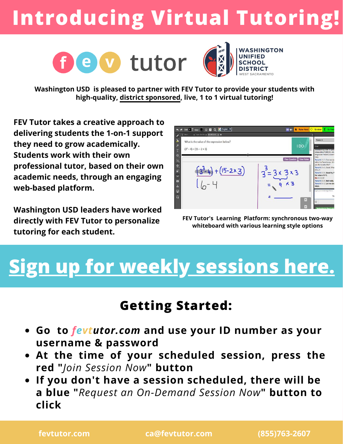# **Introducing Virtual Tutoring!**





**Washington USD is pleased to partner with FEV Tutor to provide your students with high-quality, district sponsored, live, 1 to 1 virtual tutoring!**

**FEV Tutor takes a creative approach to delivering students the 1-on-1 support they need to grow academically. Students work with their own professional tutor, based on their own academic needs, through an engaging web-based platform.**

**Washington USD leaders have worked directly with FEV Tutor to personalize tutoring for each student.**



**FEV Tutor's Learning Platform: synchronous two-way whiteboard with various learning style options**

## **[Sign up for weekly sessions here.](https://docs.google.com/forms/d/e/1FAIpQLSedxsqrSIhBrhAi737Wh_NJHl0cWjucdFSbmPl7bSvOtM-ouQ/viewform)**

### **Getting Started:**

- **Go to** *fevtutor.com* **and use your ID number as your username & password**
- **At the time of your scheduled session, press the red "***Join Session Now***" button**
- **If you don't have a session scheduled, there will be a blue "***Request an On-Demand Session Now***" button to click**

**fevtutor.com ca@fevtutor.com (855)763-2607**